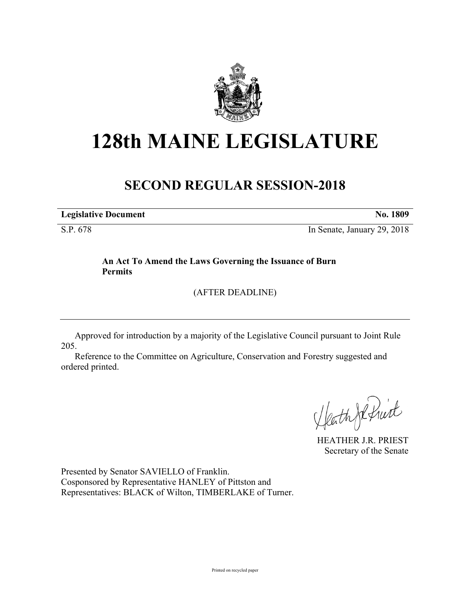

# **128th MAINE LEGISLATURE**

## **SECOND REGULAR SESSION-2018**

**Legislative Document No. 1809**

S.P. 678 In Senate, January 29, 2018

### **An Act To Amend the Laws Governing the Issuance of Burn Permits**

(AFTER DEADLINE)

Approved for introduction by a majority of the Legislative Council pursuant to Joint Rule 205.

Reference to the Committee on Agriculture, Conservation and Forestry suggested and ordered printed.

Heath Je fruit

HEATHER J.R. PRIEST Secretary of the Senate

Presented by Senator SAVIELLO of Franklin. Cosponsored by Representative HANLEY of Pittston and Representatives: BLACK of Wilton, TIMBERLAKE of Turner.